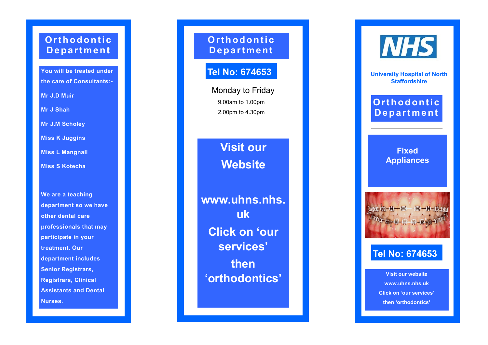## **Or t h o d o n t i c D e p a r t m e n t**

**You will be treated under the care of Consultants: -**

**Mr J.D Muir**

**Mr J Shah**

**Mr J.M Scholey**

**Miss K Juggins**

**Miss L Mangnall**

**Miss S Kotecha**

**We are a teaching department so we have other dental care professionals that may participate in your treatment. Our department includes Senior Registrars, Registrars, Clinical Assistants and Dental Nurses.**

**Or t h o d o n t i c D e p a r t m e n t**

# **Tel No: 674653**

Monday to Friday 9.00am to 1.00pm 2.00pm to 4.30pm

> **Visit our Website**

**www.uhns.nhs. uk Click on 'our services' then 'orthodontics'**



**University Hospital of North Staffordshire**

## $O$ rth o d o n tic **D e p a r t m e n t**

**Fixed Appliances**



#### **Tel No: 674653**

**Visit our website www.uhns.nhs.uk Click on 'our services' then 'orthodontics'**